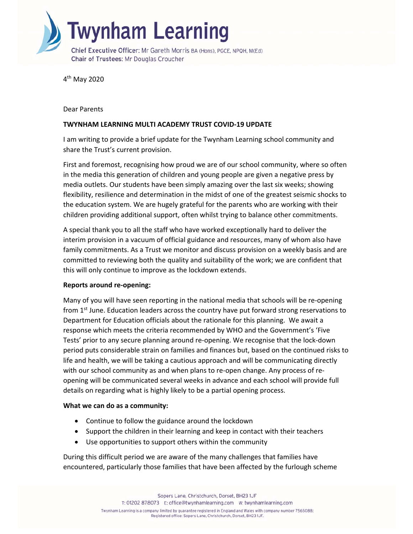

4th May 2020

Dear Parents

## **TWYNHAM LEARNING MULTI ACADEMY TRUST COVID‐19 UPDATE**

I am writing to provide a brief update for the Twynham Learning school community and share the Trust's current provision.

First and foremost, recognising how proud we are of our school community, where so often in the media this generation of children and young people are given a negative press by media outlets. Our students have been simply amazing over the last six weeks; showing flexibility, resilience and determination in the midst of one of the greatest seismic shocks to the education system. We are hugely grateful for the parents who are working with their children providing additional support, often whilst trying to balance other commitments.

A special thank you to all the staff who have worked exceptionally hard to deliver the interim provision in a vacuum of official guidance and resources, many of whom also have family commitments. As a Trust we monitor and discuss provision on a weekly basis and are committed to reviewing both the quality and suitability of the work; we are confident that this will only continue to improve as the lockdown extends.

## **Reports around re‐opening:**

Many of you will have seen reporting in the national media that schools will be re‐opening from 1<sup>st</sup> June. Education leaders across the country have put forward strong reservations to Department for Education officials about the rationale for this planning. We await a response which meets the criteria recommended by WHO and the Government's 'Five Tests' prior to any secure planning around re‐opening. We recognise that the lock‐down period puts considerable strain on families and finances but, based on the continued risks to life and health, we will be taking a cautious approach and will be communicating directly with our school community as and when plans to re-open change. Any process of reopening will be communicated several weeks in advance and each school will provide full details on regarding what is highly likely to be a partial opening process.

## **What we can do as a community:**

- Continue to follow the guidance around the lockdown
- Support the children in their learning and keep in contact with their teachers
- Use opportunities to support others within the community

During this difficult period we are aware of the many challenges that families have encountered, particularly those families that have been affected by the furlough scheme